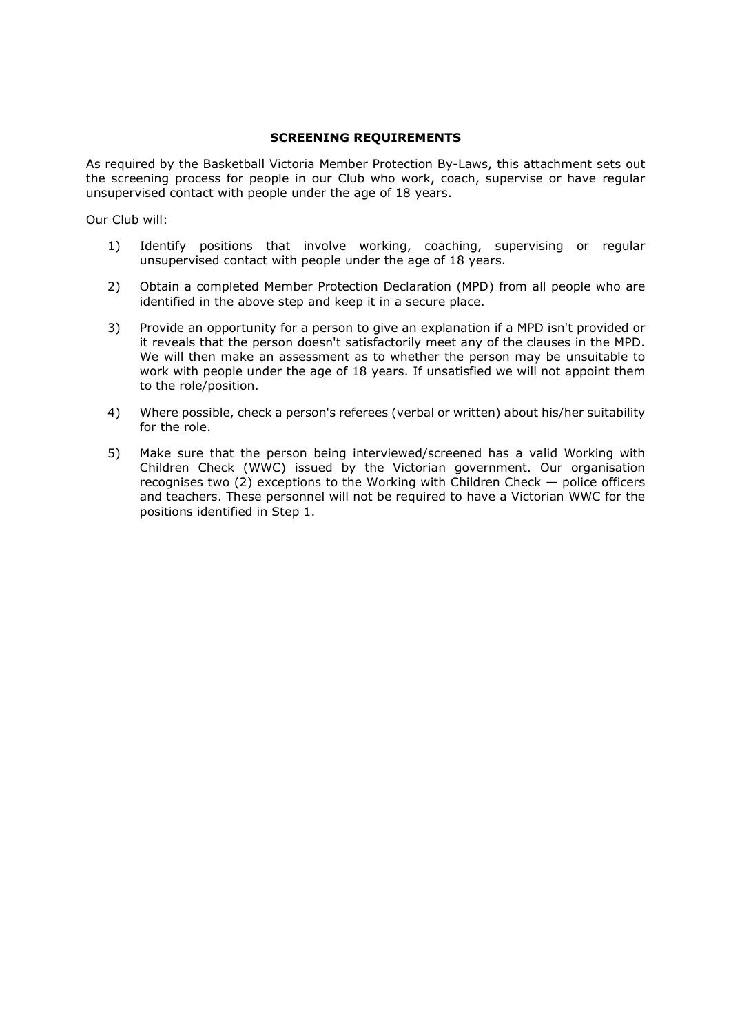## SCREENING REQUIREMENTS

As required by the Basketball Victoria Member Protection By-Laws, this attachment sets out the screening process for people in our Club who work, coach, supervise or have regular unsupervised contact with people under the age of 18 years.

Our Club will:

- 1) Identify positions that involve working, coaching, supervising or regular unsupervised contact with people under the age of 18 years.
- 2) Obtain a completed Member Protection Declaration (MPD) from all people who are identified in the above step and keep it in a secure place.
- 3) Provide an opportunity for a person to give an explanation if a MPD isn't provided or it reveals that the person doesn't satisfactorily meet any of the clauses in the MPD. We will then make an assessment as to whether the person may be unsuitable to work with people under the age of 18 years. If unsatisfied we will not appoint them to the role/position.
- 4) Where possible, check a person's referees (verbal or written) about his/her suitability for the role.
- 5) Make sure that the person being interviewed/screened has a valid Working with Children Check (WWC) issued by the Victorian government. Our organisation recognises two (2) exceptions to the Working with Children Check — police officers and teachers. These personnel will not be required to have a Victorian WWC for the positions identified in Step 1.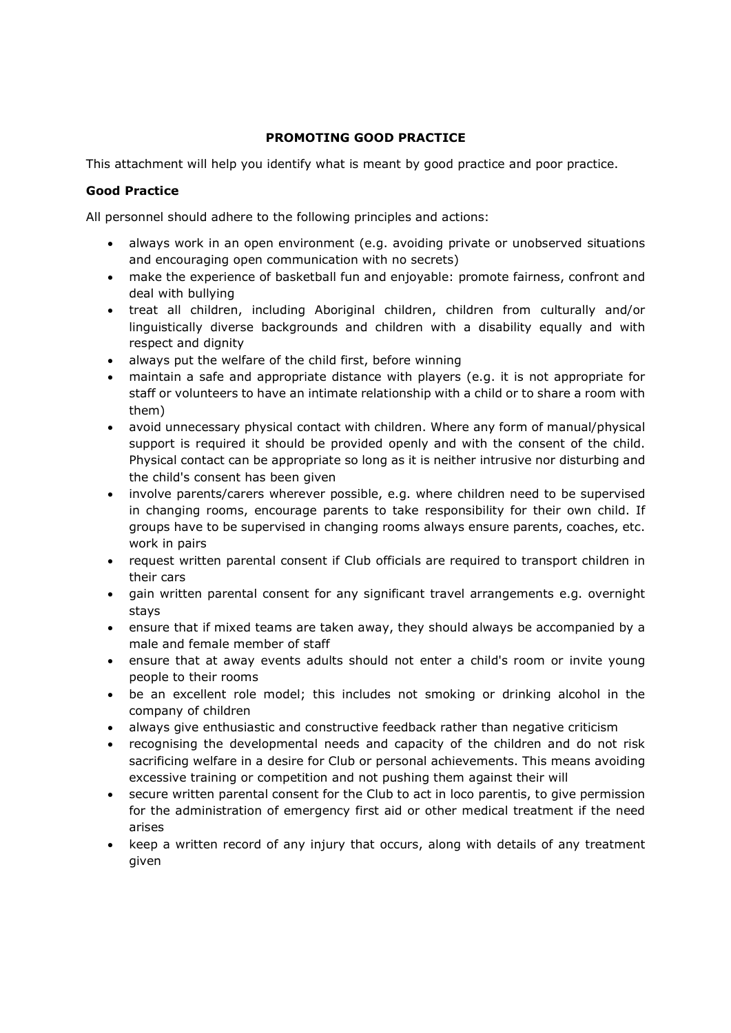# PROMOTING GOOD PRACTICE

This attachment will help you identify what is meant by good practice and poor practice.

## Good Practice

All personnel should adhere to the following principles and actions:

- always work in an open environment (e.g. avoiding private or unobserved situations and encouraging open communication with no secrets)
- make the experience of basketball fun and enjoyable: promote fairness, confront and deal with bullying
- treat all children, including Aboriginal children, children from culturally and/or linguistically diverse backgrounds and children with a disability equally and with respect and dignity
- always put the welfare of the child first, before winning
- maintain a safe and appropriate distance with players (e.g. it is not appropriate for staff or volunteers to have an intimate relationship with a child or to share a room with them)
- avoid unnecessary physical contact with children. Where any form of manual/physical support is required it should be provided openly and with the consent of the child. Physical contact can be appropriate so long as it is neither intrusive nor disturbing and the child's consent has been given
- involve parents/carers wherever possible, e.g. where children need to be supervised in changing rooms, encourage parents to take responsibility for their own child. If groups have to be supervised in changing rooms always ensure parents, coaches, etc. work in pairs
- request written parental consent if Club officials are required to transport children in their cars
- gain written parental consent for any significant travel arrangements e.g. overnight stays
- ensure that if mixed teams are taken away, they should always be accompanied by a male and female member of staff
- ensure that at away events adults should not enter a child's room or invite young people to their rooms
- be an excellent role model; this includes not smoking or drinking alcohol in the company of children
- always give enthusiastic and constructive feedback rather than negative criticism
- recognising the developmental needs and capacity of the children and do not risk sacrificing welfare in a desire for Club or personal achievements. This means avoiding excessive training or competition and not pushing them against their will
- secure written parental consent for the Club to act in loco parentis, to give permission for the administration of emergency first aid or other medical treatment if the need arises
- keep a written record of any injury that occurs, along with details of any treatment given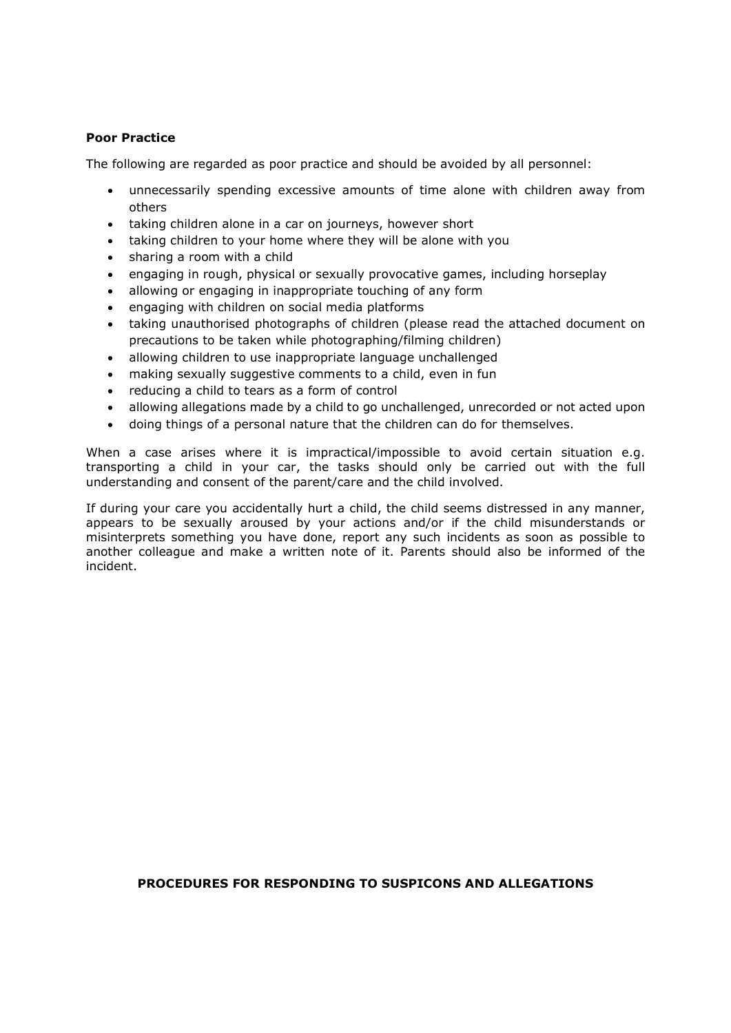## Poor Practice

The following are regarded as poor practice and should be avoided by all personnel:

- unnecessarily spending excessive amounts of time alone with children away from others
- taking children alone in a car on journeys, however short
- taking children to your home where they will be alone with you
- sharing a room with a child
- engaging in rough, physical or sexually provocative games, including horseplay
- allowing or engaging in inappropriate touching of any form
- engaging with children on social media platforms
- taking unauthorised photographs of children (please read the attached document on precautions to be taken while photographing/filming children)
- allowing children to use inappropriate language unchallenged
- making sexually suggestive comments to a child, even in fun
- reducing a child to tears as a form of control
- allowing allegations made by a child to go unchallenged, unrecorded or not acted upon
- doing things of a personal nature that the children can do for themselves.

When a case arises where it is impractical/impossible to avoid certain situation e.g. transporting a child in your car, the tasks should only be carried out with the full understanding and consent of the parent/care and the child involved.

If during your care you accidentally hurt a child, the child seems distressed in any manner, appears to be sexually aroused by your actions and/or if the child misunderstands or misinterprets something you have done, report any such incidents as soon as possible to another colleague and make a written note of it. Parents should also be informed of the incident.

## PROCEDURES FOR RESPONDING TO SUSPICONS AND ALLEGATIONS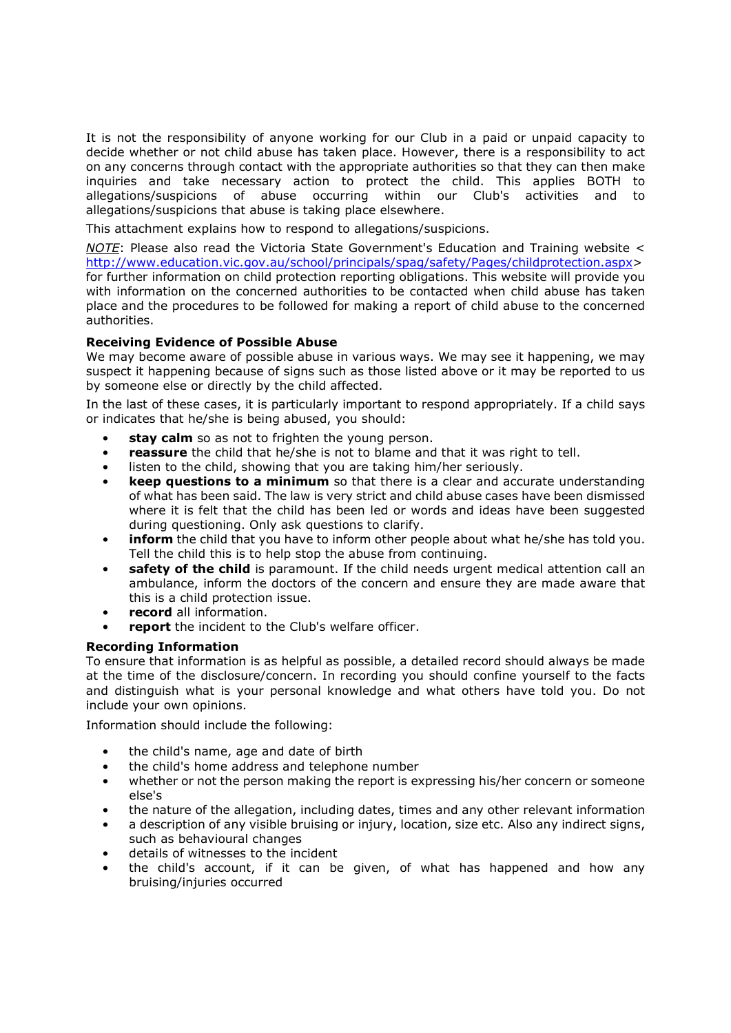It is not the responsibility of anyone working for our Club in a paid or unpaid capacity to decide whether or not child abuse has taken place. However, there is a responsibility to act on any concerns through contact with the appropriate authorities so that they can then make inquiries and take necessary action to protect the child. This applies BOTH to allegations/suspicions of abuse occurring within our Club's activities and to allegations/suspicions that abuse is taking place elsewhere.

This attachment explains how to respond to allegations/suspicions.

NOTE: Please also read the Victoria State Government's Education and Training website  $\leq$ http://www.education.vic.gov.au/school/principals/spag/safety/Pages/childprotection.aspx> for further information on child protection reporting obligations. This website will provide you with information on the concerned authorities to be contacted when child abuse has taken place and the procedures to be followed for making a report of child abuse to the concerned authorities.

#### Receiving Evidence of Possible Abuse

We may become aware of possible abuse in various ways. We may see it happening, we may suspect it happening because of signs such as those listed above or it may be reported to us by someone else or directly by the child affected.

In the last of these cases, it is particularly important to respond appropriately. If a child says or indicates that he/she is being abused, you should:

- stay calm so as not to frighten the young person.
- reassure the child that he/she is not to blame and that it was right to tell.
- listen to the child, showing that you are taking him/her seriously.
- **keep questions to a minimum** so that there is a clear and accurate understanding of what has been said. The law is very strict and child abuse cases have been dismissed where it is felt that the child has been led or words and ideas have been suggested during questioning. Only ask questions to clarify.
- inform the child that you have to inform other people about what he/she has told you. Tell the child this is to help stop the abuse from continuing.
- safety of the child is paramount. If the child needs urgent medical attention call an ambulance, inform the doctors of the concern and ensure they are made aware that this is a child protection issue.
- record all information.
- report the incident to the Club's welfare officer.

#### Recording Information

To ensure that information is as helpful as possible, a detailed record should always be made at the time of the disclosure/concern. In recording you should confine yourself to the facts and distinguish what is your personal knowledge and what others have told you. Do not include your own opinions.

Information should include the following:

- the child's name, age and date of birth
- the child's home address and telephone number
- whether or not the person making the report is expressing his/her concern or someone else's
- the nature of the allegation, including dates, times and any other relevant information
- a description of any visible bruising or injury, location, size etc. Also any indirect signs, such as behavioural changes
- details of witnesses to the incident
- the child's account, if it can be given, of what has happened and how any bruising/injuries occurred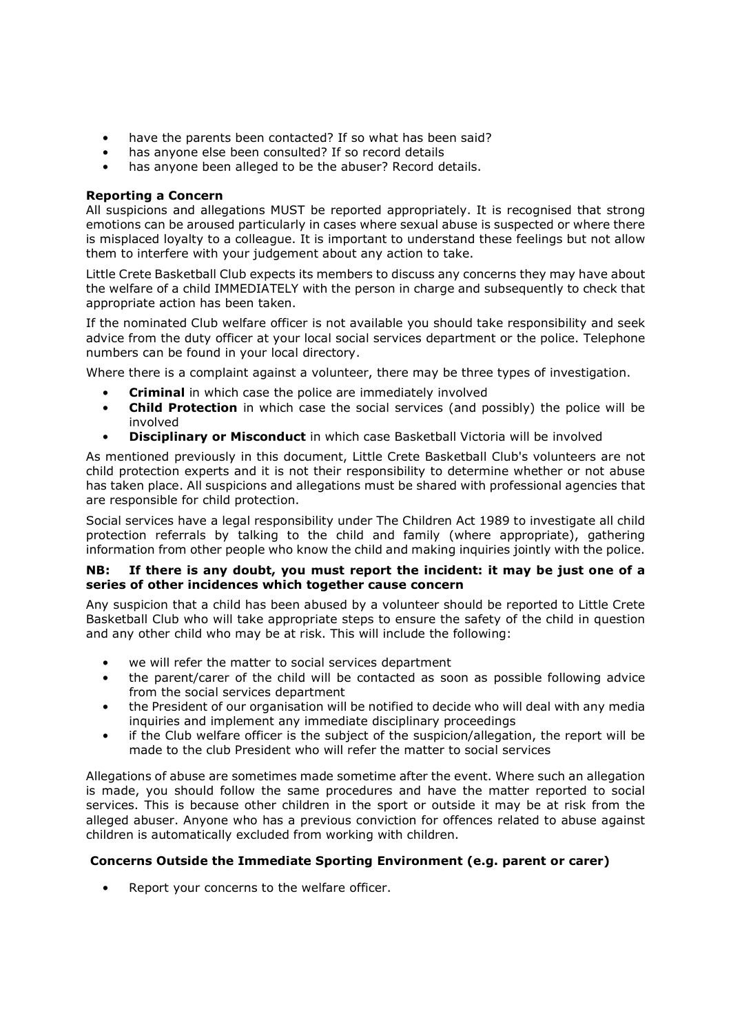- have the parents been contacted? If so what has been said?
- has anyone else been consulted? If so record details
- has anyone been alleged to be the abuser? Record details.

## Reporting a Concern

All suspicions and allegations MUST be reported appropriately. It is recognised that strong emotions can be aroused particularly in cases where sexual abuse is suspected or where there is misplaced loyalty to a colleague. It is important to understand these feelings but not allow them to interfere with your judgement about any action to take.

Little Crete Basketball Club expects its members to discuss any concerns they may have about the welfare of a child IMMEDIATELY with the person in charge and subsequently to check that appropriate action has been taken.

If the nominated Club welfare officer is not available you should take responsibility and seek advice from the duty officer at your local social services department or the police. Telephone numbers can be found in your local directory.

Where there is a complaint against a volunteer, there may be three types of investigation.

- **Criminal** in which case the police are immediately involved
- **Child Protection** in which case the social services (and possibly) the police will be involved
- **Disciplinary or Misconduct** in which case Basketball Victoria will be involved

As mentioned previously in this document, Little Crete Basketball Club's volunteers are not child protection experts and it is not their responsibility to determine whether or not abuse has taken place. All suspicions and allegations must be shared with professional agencies that are responsible for child protection.

Social services have a legal responsibility under The Children Act 1989 to investigate all child protection referrals by talking to the child and family (where appropriate), gathering information from other people who know the child and making inquiries jointly with the police.

## NB: If there is any doubt, you must report the incident: it may be just one of a series of other incidences which together cause concern

Any suspicion that a child has been abused by a volunteer should be reported to Little Crete Basketball Club who will take appropriate steps to ensure the safety of the child in question and any other child who may be at risk. This will include the following:

- we will refer the matter to social services department
- the parent/carer of the child will be contacted as soon as possible following advice from the social services department
- the President of our organisation will be notified to decide who will deal with any media inquiries and implement any immediate disciplinary proceedings
- if the Club welfare officer is the subject of the suspicion/allegation, the report will be made to the club President who will refer the matter to social services

Allegations of abuse are sometimes made sometime after the event. Where such an allegation is made, you should follow the same procedures and have the matter reported to social services. This is because other children in the sport or outside it may be at risk from the alleged abuser. Anyone who has a previous conviction for offences related to abuse against children is automatically excluded from working with children.

# Concerns Outside the Immediate Sporting Environment (e.g. parent or carer)

Report your concerns to the welfare officer.